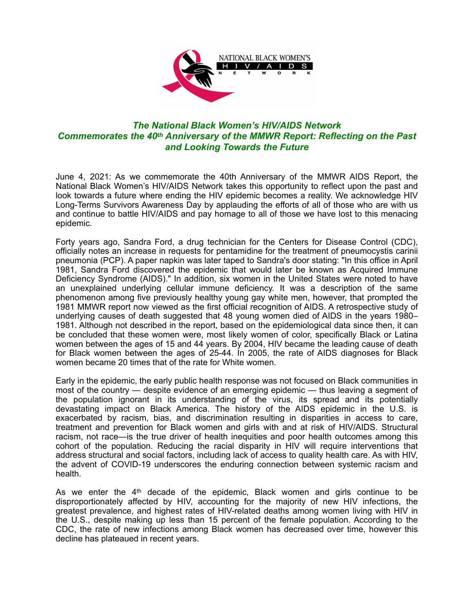

## *The National Black Women's HIV/AIDS Network Commemorates the 40th Anniversary of the MMWR Report: Reflecting on the Past and Looking Towards the Future*

June 4, 2021: As we commemorate the 40th Anniversary of the MMWR AIDS Report, the National Black Women's HIV/AIDS Network takes this opportunity to reflect upon the past and look towards a future where ending the HIV epidemic becomes a reality. We acknowledge HIV Long-Terms Survivors Awareness Day by applauding the efforts of all of those who are with us and continue to battle HIV/AIDS and pay homage to all of those we have lost to this menacing epidemic.

Forty years ago, Sandra Ford, a drug technician for the Centers for Disease Control (CDC), officially notes an increase in requests for pentamidine for the treatment of pneumocystis carinii pneumonia (PCP). A paper napkin was later taped to Sandra's door stating: "In this office in April 1981, Sandra Ford discovered the epidemic that would later be known as Acquired Immune Deficiency Syndrome (AIDS)." In addition, six women in the United States were noted to have an unexplained underlying cellular immune deficiency. It was a description of the same phenomenon among five previously healthy young gay white men, however, that prompted the 1981 MMWR report now viewed as the first official recognition of AIDS. A retrospective study of underlying causes of death suggested that 48 young women died of AIDS in the years 1980– 1981. Although not described in the report, based on the epidemiological data since then, it can be concluded that these women were, most likely women of color, specifically Black or Latina women between the ages of 15 and 44 years. By 2004, HIV became the leading cause of death for Black women between the ages of 25-44. In 2005, the rate of AIDS diagnoses for Black women became 20 times that of the rate for White women.

Early in the epidemic, the early public health response was not focused on Black communities in most of the country — despite evidence of an emerging epidemic — thus leaving a segment of the population ignorant in its understanding of the virus, its spread and its potentially devastating impact on Black America. The history of the AIDS epidemic in the U.S. is exacerbated by racism, bias, and discrimination resulting in disparities in access to care, treatment and prevention for Black women and girls with and at risk of HIV/AIDS. Structural racism, not race—is the true driver of health inequities and poor health outcomes among this cohort of the population. Reducing the racial disparity in HIV will require interventions that address structural and social factors, including lack of access to quality health care. As with HIV, the advent of COVID-19 underscores the enduring connection between systemic racism and health.

As we enter the 4<sup>th</sup> decade of the epidemic, Black women and girls continue to be disproportionately affected by HIV, accounting for the majority of new HIV infections, the greatest prevalence, and highest rates of HIV-related deaths among women living with HIV in the U.S., despite making up less than 15 percent of the female population. According to the CDC, the rate of new infections among Black women has decreased over time, however this decline has plateaued in recent years.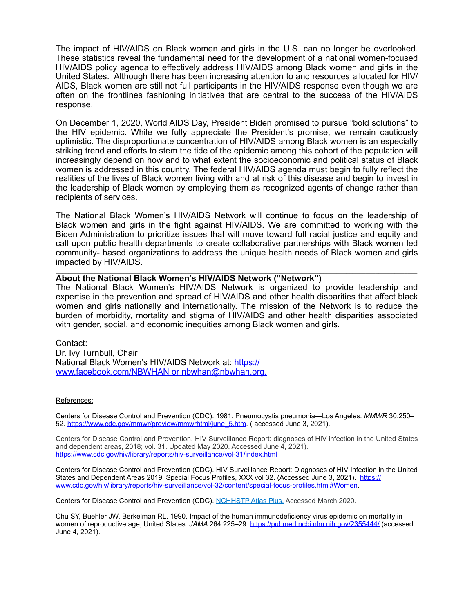The impact of HIV/AIDS on Black women and girls in the U.S. can no longer be overlooked. These statistics reveal the fundamental need for the development of a national women-focused HIV/AIDS policy agenda to effectively address HIV/AIDS among Black women and girls in the United States. Although there has been increasing attention to and resources allocated for HIV/ AIDS, Black women are still not full participants in the HIV/AIDS response even though we are often on the frontlines fashioning initiatives that are central to the success of the HIV/AIDS response.

On December 1, 2020, World AIDS Day, President Biden promised to pursue "bold solutions" to the HIV epidemic. While we fully appreciate the President's promise, we remain cautiously optimistic. The disproportionate concentration of HIV/AIDS among Black women is an especially striking trend and efforts to stem the tide of the epidemic among this cohort of the population will increasingly depend on how and to what extent the socioeconomic and political status of Black women is addressed in this country. The federal HIV/AIDS agenda must begin to fully reflect the realities of the lives of Black women living with and at risk of this disease and begin to invest in the leadership of Black women by employing them as recognized agents of change rather than recipients of services.

The National Black Women's HIV/AIDS Network will continue to focus on the leadership of Black women and girls in the fight against HIV/AIDS. We are committed to working with the Biden Administration to prioritize issues that will move toward full racial justice and equity and call upon public health departments to create collaborative partnerships with Black women led community- based organizations to address the unique health needs of Black women and girls impacted by HIV/AIDS.

## $\mathcal{L}_\mathcal{L} = \{ \mathcal{L}_\mathcal{L} = \{ \mathcal{L}_\mathcal{L} = \{ \mathcal{L}_\mathcal{L} = \{ \mathcal{L}_\mathcal{L} = \{ \mathcal{L}_\mathcal{L} = \{ \mathcal{L}_\mathcal{L} = \{ \mathcal{L}_\mathcal{L} = \{ \mathcal{L}_\mathcal{L} = \{ \mathcal{L}_\mathcal{L} = \{ \mathcal{L}_\mathcal{L} = \{ \mathcal{L}_\mathcal{L} = \{ \mathcal{L}_\mathcal{L} = \{ \mathcal{L}_\mathcal{L} = \{ \mathcal{L}_\mathcal{$ **About the National Black Women's HIV/AIDS Network ("Network")**

The National Black Women's HIV/AIDS Network is organized to provide leadership and expertise in the prevention and spread of HIV/AIDS and other health disparities that affect black women and girls nationally and internationally. The mission of the Network is to reduce the burden of morbidity, mortality and stigma of HIV/AIDS and other health disparities associated with gender, social, and economic inequities among Black women and girls.

Contact: Dr. Ivy Turnbull, Chair National Black Women's HIV/AIDS Network at: [https://](https://www.facebook.com/NBWHAN) [www.facebook.com/NBWHAN](https://www.facebook.com/NBWHAN) or [nbwhan@nbwhan.org.](mailto:nbwhan@nbwhan.org)

## References:

Centers for Disease Control and Prevention (CDC). 1981. Pneumocystis pneumonia—Los Angeles. *MMWR* 30:250– 52. [https://www.cdc.gov/mmwr/preview/mmwrhtml/june\\_5.htm](https://www.cdc.gov/mmwr/preview/mmwrhtml/june_5.htm). ( accessed June 3, 2021).

Centers for Disease Control and Prevention. HIV Surveillance Report: diagnoses of HIV infection in the United States and dependent areas, 2018; vol. 31. Updated May 2020. Accessed June 4, 2021). <https://www.cdc.gov/hiv/library/reports/hiv-surveillance/vol-31/index.html>

Centers for Disease Control and Prevention (CDC). HIV Surveillance Report: Diagnoses of HIV Infection in the United States and Dependent Areas 2019: Special Focus Profiles, XXX vol 32. (Accessed June 3, 2021). [https://](https://www.cdc.gov/hiv/library/reports/hiv-surveillance/vol-32/content/special-focus-profiles.html%23Women) [www.cdc.gov/hiv/library/reports/hiv-surveillance/vol-32/content/special-focus-profiles.html#Women.](https://www.cdc.gov/hiv/library/reports/hiv-surveillance/vol-32/content/special-focus-profiles.html%23Women)

Centers for Disease Control and Prevention (CDC). [NCHHSTP Atlas Plus.](https://www.cdc.gov/nchhstp/atlas/index.htm) Accessed March 2020.

Chu SY, Buehler JW, Berkelman RL. 1990. Impact of the human immunodeficiency virus epidemic on mortality in women of reproductive age, United States. *JAMA* 264:225-29.<https://pubmed.ncbi.nlm.nih.gov/2355444/> (accessed June 4, 2021).